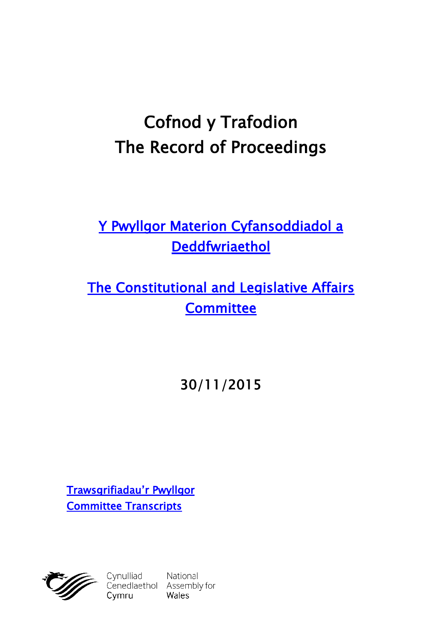# **Cofnod y Trafodion The Record of Proceedings**

# **[Y Pwyllgor Materion Cyfansoddiadol a](http://www.cynulliad.cymru/SeneddMCD)  [Deddfwriaethol](http://www.cynulliad.cymru/SeneddMCD)**

**[The Constitutional and Legislative Affairs](http://www.assembly.wales/SeneddCLA)  [Committee](http://www.assembly.wales/SeneddCLA)**

**30/11/2015**

**[Trawsgrifiadau'r Pwyllgor](http://www.senedd.cynulliad.cymru/mgIssueHistoryHome.aspx?IId=1242) [Committee Transcripts](http://www.senedd.assembly.wales/mgIssueHistoryHome.aspx?IId=1242)**



Cynulliad National<br>Cenedlaethol Assembly for<br>Cymru Wales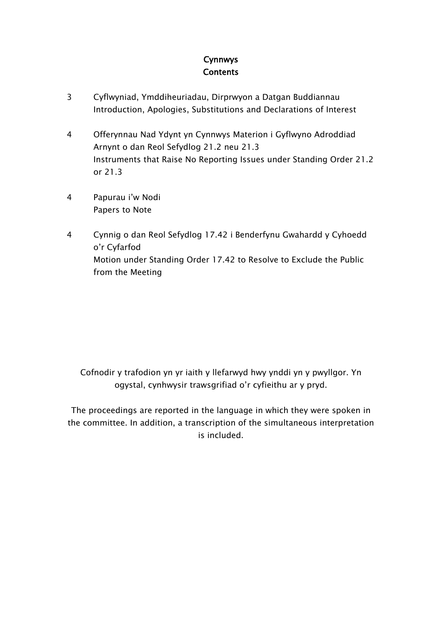#### **Cynnwys Contents**

- [3](#page-2-0) Cyflwyniad, [Ymddiheuriadau,](#page-2-0) Dirprwyon a Datgan Buddiannau Introduction, Apologies, [Substitutions](#page-2-0) and Declarations of Interest
- [4](#page-3-0) [Offerynnau](#page-3-0) Nad Ydynt yn Cynnwys Materion i Gyflwyno Adroddiad Arnynt o dan Reol [Sefydlog](#page-3-0) 21.2 neu 21.3 [Instruments](#page-3-0) that Raise No Reporting Issues under Standing Order 21.2 or [21.3](#page-3-0)
- [4](#page-3-1) [Papurau](#page-3-1) i'w Nodi [Papers](#page-3-1) to Note
- [4](#page-3-2) Cynnig o dan Reol Sefydlog 17.42 i [Benderfynu](#page-3-2) Gwahardd y Cyhoedd o'r [Cyfarfod](#page-3-2) Motion under [Standing](#page-3-2) Order 17.42 to Resolve to Exclude the Public from the [Meeting](#page-3-2)

Cofnodir y trafodion yn yr iaith y llefarwyd hwy ynddi yn y pwyllgor. Yn ogystal, cynhwysir trawsgrifiad o'r cyfieithu ar y pryd.

The proceedings are reported in the language in which they were spoken in the committee. In addition, a transcription of the simultaneous interpretation is included.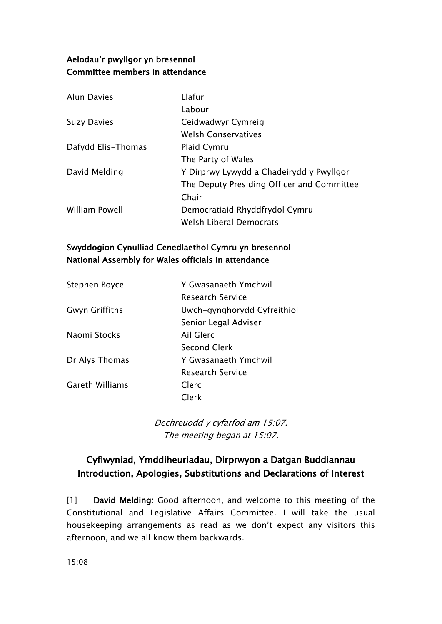#### **Aelodau'r pwyllgor yn bresennol Committee members in attendance**

| <b>Alun Davies</b> | Llafur                                     |
|--------------------|--------------------------------------------|
|                    | Labour                                     |
| <b>Suzy Davies</b> | Ceidwadwyr Cymreig                         |
|                    | <b>Welsh Conservatives</b>                 |
| Dafydd Elis-Thomas | Plaid Cymru                                |
|                    | The Party of Wales                         |
| David Melding      | Y Dirprwy Lywydd a Chadeirydd y Pwyllgor   |
|                    | The Deputy Presiding Officer and Committee |
|                    | Chair                                      |
| William Powell     | Democratiaid Rhyddfrydol Cymru             |
|                    | <b>Welsh Liberal Democrats</b>             |

#### **Swyddogion Cynulliad Cenedlaethol Cymru yn bresennol National Assembly for Wales officials in attendance**

| Stephen Boyce          | Y Gwasanaeth Ymchwil        |
|------------------------|-----------------------------|
|                        | <b>Research Service</b>     |
| <b>Gwyn Griffiths</b>  | Uwch-gynghorydd Cyfreithiol |
|                        | Senior Legal Adviser        |
| Naomi Stocks           | Ail Glerc                   |
|                        | Second Clerk                |
| Dr Alys Thomas         | Y Gwasanaeth Ymchwil        |
|                        | Research Service            |
| <b>Gareth Williams</b> | Clerc                       |
|                        | Clerk                       |

*Dechreuodd y cyfarfod am 15:07. The meeting began at 15:07.*

### <span id="page-2-0"></span>**Cyflwyniad, Ymddiheuriadau, Dirprwyon a Datgan Buddiannau Introduction, Apologies, Substitutions and Declarations of Interest**

[1] **David Melding:** Good afternoon, and welcome to this meeting of the Constitutional and Legislative Affairs Committee. I will take the usual housekeeping arrangements as read as we don't expect any visitors this afternoon, and we all know them backwards.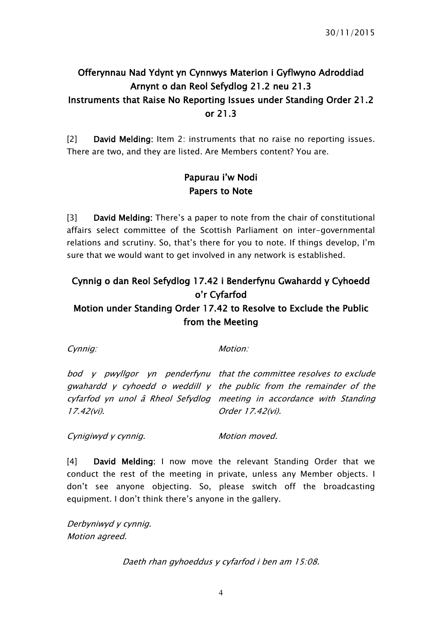# <span id="page-3-0"></span>**Offerynnau Nad Ydynt yn Cynnwys Materion i Gyflwyno Adroddiad Arnynt o dan Reol Sefydlog 21.2 neu 21.3 Instruments that Raise No Reporting Issues under Standing Order 21.2 or 21.3**

[2] **David Melding:** Item 2: instruments that no raise no reporting issues. There are two, and they are listed. Are Members content? You are.

#### <span id="page-3-1"></span>**Papurau i'w Nodi Papers to Note**

[3] **David Melding:** There's a paper to note from the chair of constitutional affairs select committee of the Scottish Parliament on inter-governmental relations and scrutiny. So, that's there for you to note. If things develop, I'm sure that we would want to get involved in any network is established.

# <span id="page-3-2"></span>**Cynnig o dan Reol Sefydlog 17.42 i Benderfynu Gwahardd y Cyhoedd o'r Cyfarfod**

#### **Motion under Standing Order 17.42 to Resolve to Exclude the Public from the Meeting**

*Cynnig: Motion:*

*bod y pwyllgor yn penderfynu that the committee resolves to exclude gwahardd y cyhoedd <sup>o</sup> weddill y the public from the remainder of the cyfarfod yn unol â Rheol Sefydlog meeting in accordance with Standing 17.42(vi). Order 17.42(vi).*

*Cynigiwyd y cynnig. Motion moved.*

[4] **David Melding:** I now move the relevant Standing Order that we conduct the rest of the meeting in private, unless any Member objects. I don't see anyone objecting. So, please switch off the broadcasting equipment. I don't think there's anyone in the gallery.

*Derbyniwyd y cynnig. Motion agreed.*

*Daeth rhan gyhoeddus y cyfarfod i ben am 15:08.*